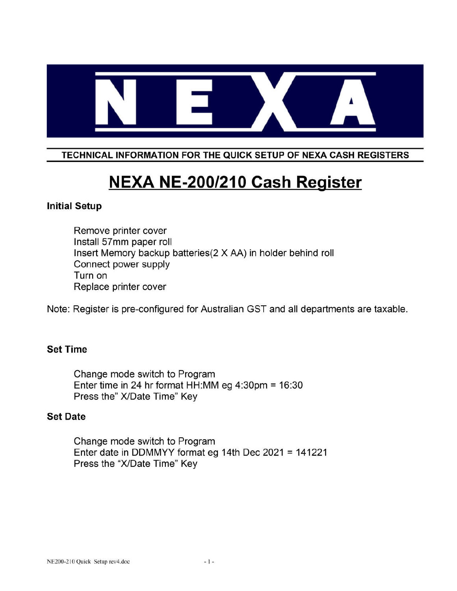

TECHNICAL INFORMATION FOR THE QUICK SETUP OF NEXA CASH REGISTERS

# **NEXA NE-200/210 Cash Register**

#### **Initial Setup**

Remove printer cover Install 57mm paper roll Insert Memory backup batteries (2 X AA) in holder behind roll Connect power supply Turn on Replace printer cover

Note: Register is pre-configured for Australian GST and all departments are taxable.

#### **Set Time**

Change mode switch to Program Enter time in 24 hr format HH:MM eg  $4:30 \text{pm} = 16:30$ Press the" X/Date Time" Key

#### **Set Date**

Change mode switch to Program Enter date in DDMMYY format eg 14th Dec 2021 = 141221 Press the "X/Date Time" Key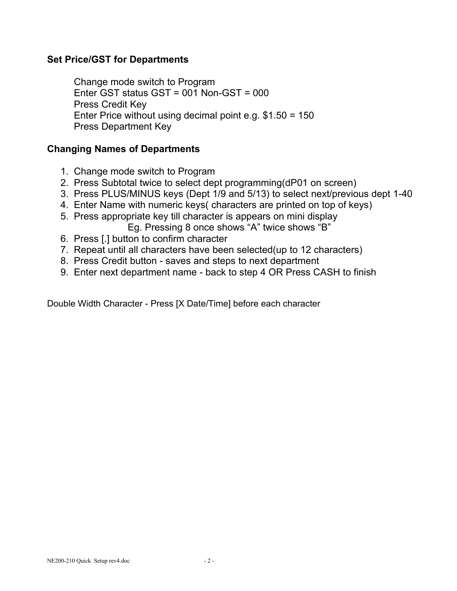#### **Set Price/GST for Departments**

Change mode switch to Program Enter GST status GST = 001 Non-GST = 000 Press Credit Key Enter Price without using decimal point e.g. \$1.50 = 150 Press Department Key

#### **Changing Names of Departments**

- 1. Change mode switch to Program
- 2. Press Subtotal twice to select dept programming(dP01 on screen)
- 3. Press PLUS/MINUS keys (Dept 1/9 and 5/13) to select next/previous dept 1-40
- 4. Enter Name with numeric keys( characters are printed on top of keys)
- 5. Press appropriate key till character is appears on mini display

Eg. Pressing 8 once shows "A" twice shows "B"

- 6. Press [.] button to confirm character
- 7. Repeat until all characters have been selected(up to 12 characters)
- 8. Press Credit button saves and steps to next department
- 9. Enter next department name back to step 4 OR Press CASH to finish

Double Width Character - Press [X Date/Time] before each character